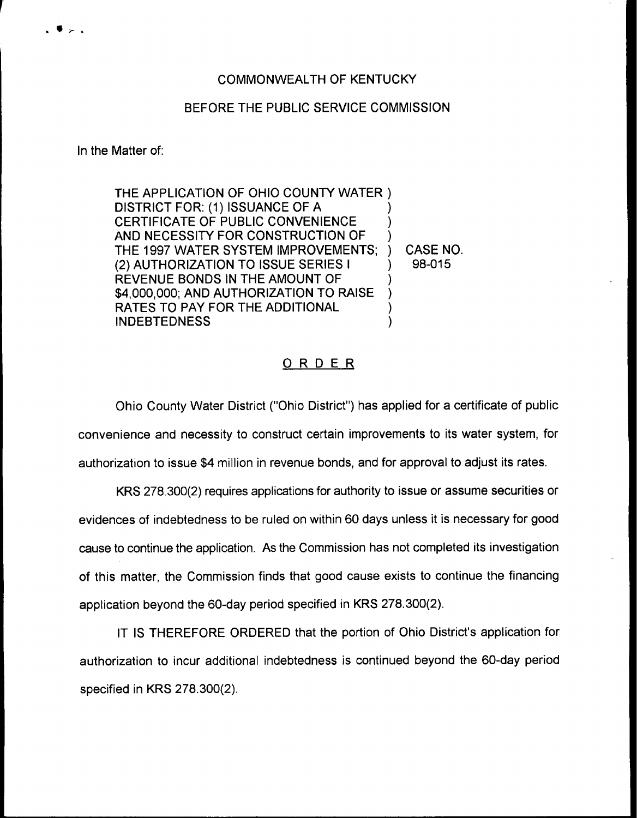## BEFORE THE PUBLIC SERVICE COMMISSION

In the Matter of:

THE APPLICATION OF OHIO COUNTY WATER ) DISTRICT FOR: (1) ISSUANCE OF A CERTIFICATE OF PUBLIC CONVENIENCE AND NECESSITY FOR CONSTRUCTION OF THE 1997 WATER SYSTEM IMPROVEMENTS; (2) AUTHORIZATION TO ISSUE SERIES <sup>I</sup> REVENUE BONDS IN THE AMOUNT OF \$4,000,000; AND AUTHORIZATION TO RAISE RATES TO PAY FOR THE ADDITIONAL INDEBTEDNESS ) ) ) ) ) ) )

) CASE NO. ) 98-015

## ORDER

Ohio County Water District ("Ohio District") has applied for a certificate of public convenience and necessity to construct certain improvements to its water system, for authorization to issue \$4 million in revenue bonds, and for approval to adjust its rates.

KRS 278.300(2) requires applications for authority to issue or assume securities or evidences of indebtedness to be ruled on within 60 days unless it is necessary for good cause to continue the application. As the Commission has not completed its investigation of this matter, the Commission finds that good cause exists to continue the financing application beyond the 60-day period specified in KRS 278.300(2).

IT IS THEREFORE ORDERED that the portion of Ohio District's application for authorization to incur additional indebtedness is continued beyond the 60-day period specified in KRS 278.300(2).